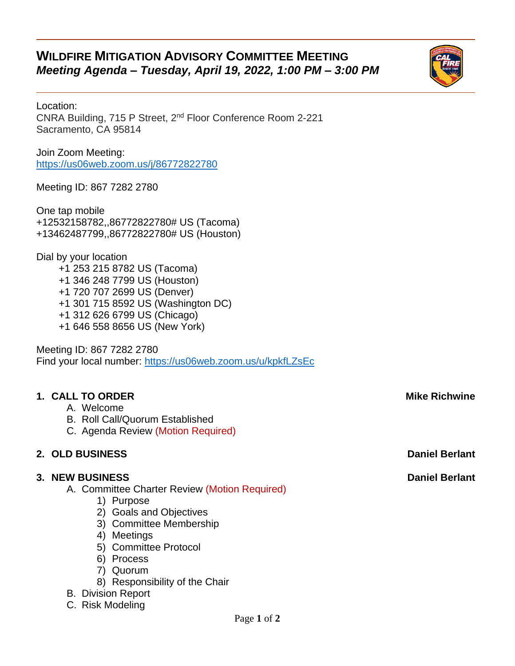# **WILDFIRE MITIGATION ADVISORY COMMITTEE MEETING** *Meeting Agenda – Tuesday, April 19, 2022, 1:00 PM – 3:00 PM*



Join Zoom Meeting: <https://us06web.zoom.us/j/86772822780>

Meeting ID: 867 7282 2780

One tap mobile +12532158782,,86772822780# US (Tacoma) +13462487799,,86772822780# US (Houston)

Dial by your location +1 253 215 8782 US (Tacoma) +1 346 248 7799 US (Houston) +1 720 707 2699 US (Denver) +1 301 715 8592 US (Washington DC) +1 312 626 6799 US (Chicago) +1 646 558 8656 US (New York)

Meeting ID: 867 7282 2780 Find your local number:<https://us06web.zoom.us/u/kpkfLZsEc>

### **1. CALL TO ORDER Mike Richwine**

- A. Welcome
- B. Roll Call/Quorum Established
- C. Agenda Review (Motion Required)

#### **2. OLD BUSINESS Daniel Berlant**

#### **3. NEW BUSINESS Daniel Berlant**

A. Committee Charter Review (Motion Required)

- 1) Purpose
- 2) Goals and Objectives
- 3) Committee Membership
- 4) Meetings
- 5) Committee Protocol
- 6) Process
- 7) Quorum
- 8) Responsibility of the Chair

#### B. Division Report

C. Risk Modeling